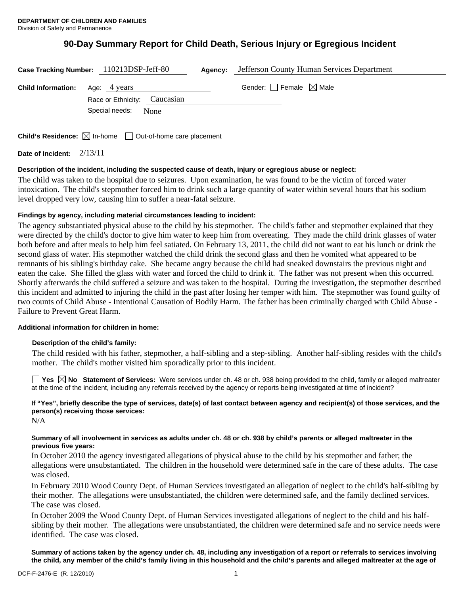# **90-Day Summary Report for Child Death, Serious Injury or Egregious Incident**

|                                                                                 | Case Tracking Number: 110213DSP-Jeff-80             | Agency: | Jefferson County Human Services Department |
|---------------------------------------------------------------------------------|-----------------------------------------------------|---------|--------------------------------------------|
| <b>Child Information:</b> Age: 4 years                                          |                                                     |         | Gender: $\Box$ Female $\boxtimes$ Male     |
|                                                                                 | Race or Ethnicity: Caucasian<br>Special needs: None |         |                                            |
| <b>Child's Residence:</b> $\boxtimes$ In-home $\Box$ Out-of-home care placement |                                                     |         |                                            |

**Date of Incident:** 2/13/11

### **Description of the incident, including the suspected cause of death, injury or egregious abuse or neglect:**

The child was taken to the hospital due to seizures. Upon examination, he was found to be the victim of forced water intoxication. The child's stepmother forced him to drink such a large quantity of water within several hours that his sodium level dropped very low, causing him to suffer a near-fatal seizure.

### **Findings by agency, including material circumstances leading to incident:**

The agency substantiated physical abuse to the child by his stepmother. The child's father and stepmother explained that they were directed by the child's doctor to give him water to keep him from overeating. They made the child drink glasses of water both before and after meals to help him feel satiated. On February 13, 2011, the child did not want to eat his lunch or drink the second glass of water. His stepmother watched the child drink the second glass and then he vomited what appeared to be remnants of his sibling's birthday cake. She became angry because the child had sneaked downstairs the previous night and eaten the cake. She filled the glass with water and forced the child to drink it. The father was not present when this occurred. Shortly afterwards the child suffered a seizure and was taken to the hospital. During the investigation, the stepmother described this incident and admitted to injuring the child in the past after losing her temper with him. The stepmother was found guilty of two counts of Child Abuse - Intentional Causation of Bodily Harm. The father has been criminally charged with Child Abuse - Failure to Prevent Great Harm.

### **Additional information for children in home:**

### **Description of the child's family:**

 The child resided with his father, stepmother, a half-sibling and a step-sibling. Another half-sibling resides with the child's mother. The child's mother visited him sporadically prior to this incident.

**Yes No Statement of Services:** Were services under ch. 48 or ch. 938 being provided to the child, family or alleged maltreater at the time of the incident, including any referrals received by the agency or reports being investigated at time of incident?

# **If "Yes", briefly describe the type of services, date(s) of last contact between agency and recipient(s) of those services, and the person(s) receiving those services:**

N/A

### **Summary of all involvement in services as adults under ch. 48 or ch. 938 by child's parents or alleged maltreater in the previous five years:**

In October 2010 the agency investigated allegations of physical abuse to the child by his stepmother and father; the allegations were unsubstantiated. The children in the household were determined safe in the care of these adults. The case was closed.

In February 2010 Wood County Dept. of Human Services investigated an allegation of neglect to the child's half-sibling by their mother. The allegations were unsubstantiated, the children were determined safe, and the family declined services. The case was closed.

In October 2009 the Wood County Dept. of Human Services investigated allegations of neglect to the child and his halfsibling by their mother. The allegations were unsubstantiated, the children were determined safe and no service needs were identified. The case was closed.

**Summary of actions taken by the agency under ch. 48, including any investigation of a report or referrals to services involving the child, any member of the child's family living in this household and the child's parents and alleged maltreater at the age of**